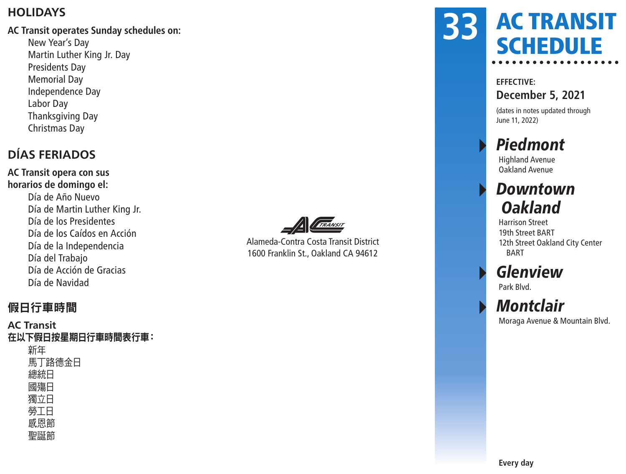#### **HOLIDAYS**

#### **AC Transit operates Sunday schedules on:**

New Year's Day Martin Luther King Jr. Day Presidents Day Memorial Day Independence Day Labor Day Thanksgiving Day Christmas Day

### **DÍAS FERIADOS**

**AC Transit opera con sus horarios de domingo el:** Día de Año Nuevo Día de Martin Luther King Jr. Día de los Presidentes Día de los Caídos en Acción Día de la Independencia Día del Trabajo Día de Acción de Gracias Día de Navidad



Alameda-Contra Costa Transit District 1600 Franklin St., Oakland CA 94612

### AC TRANSIT **SCHEDULE 33**

#### **EFFECTIVE:**

**December 5, 2021**

(dates in notes updated through June 11, 2022)

## **Piedmont**

Highland Avenue Oakland Avenue

## **Downtown Oakland**

Harrison Street 19th Street BART 12th Street Oakland City Center BART

## **Glenview**

Park Blvd.

### **Montclair**

Moraga Avenue & Mountain Blvd.

#### 假日行車時間

#### **AC Transit** 在以下假日按星期日行車時間表行車: 新年 馬丁路德金日 總統日 國殤日 獨立日 勞工日 感恩節 聖誕節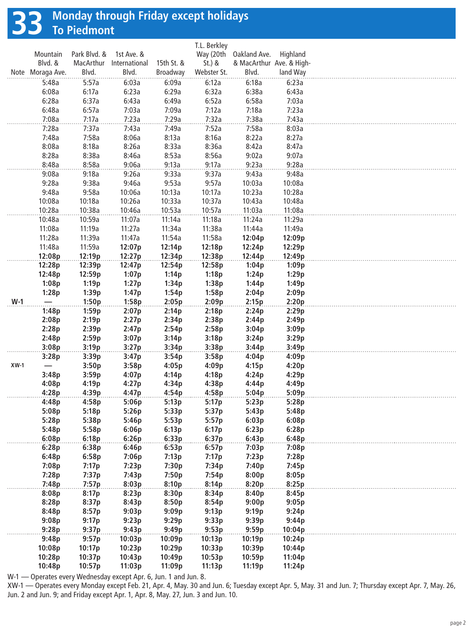# **33 Monday through Friday except holidays To Piedmont**

|        |                  |              |                |            | T.L. Berkley |                          |          |  |
|--------|------------------|--------------|----------------|------------|--------------|--------------------------|----------|--|
|        | Mountain         | Park Blvd. & | 1st Ave. &     |            | Way (20th    | Oakland Ave.             | Highland |  |
|        | Blvd. &          | MacArthur    | International  | 15th St. & | $St.$ ) &    | & MacArthur Ave. & High- |          |  |
|        | Note Moraga Ave. | Blvd.        | Blvd.          | Broadway   | Webster St.  | Blvd.                    | land Way |  |
|        | 5:48a            | 5:57a        | 6:03a          | 6:09a      | 6:12a        | 6:18a                    | 6:23a    |  |
|        | 6:08a            | 6:17a        | 6:23a          | 6:29a      | 6:32a        | 6:38a                    | 6:43a    |  |
|        | 6:28a            | 6:37a        | 6:43a          | 6:49a      | 6:52a        | 6:58a                    | 7:03a    |  |
|        | 6:48a            | 6:57a        | 7:03a          | 7:09a      | 7:12a        | 7:18a                    | 7:23a    |  |
|        | 7:08a            | 7:17a        | 7:23a          | 7:29a      | 7:32a        | 7:38a                    | 7:43a    |  |
|        | 7:28a            | 7:37a        | 7:43a          | 7:49a      | 7:52a        | 7:58a                    | 8:03a    |  |
|        | 7:48a            | 7:58a        | 8:06a          | 8:13a      | 8:16a        | 8:22a                    | 8:27a    |  |
|        | 8:08a            | 8:18a        | 8:26a          | 8:33a      | 8:36a        | 8:42a                    | 8:47a    |  |
|        | 8:28a            | 8:38a        |                | 8:53a      | 8:56a        | 9:02a                    | 9:07a    |  |
|        | 8:48a            | 8:58a        | 8:46a<br>9:06a | 9:13a      | 9:17a        | 9:23a                    | 9:28a    |  |
|        |                  |              |                |            |              |                          |          |  |
|        | 9:08a            | 9:18a        | 9:26a          | 9:33a      | 9:37a        | 9:43a                    | 9:48a    |  |
|        | 9:28a            | 9:38a        | 9:46a          | 9:53a      | 9:57a        | 10:03a                   | 10:08a   |  |
|        | 9:48a            | 9:58a        | 10:06a         | 10:13a     | 10:17a       | 10:23a                   | 10:28a   |  |
|        | 10:08a           | 10:18a       | 10:26a         | 10:33a     | 10:37a       | 10:43a                   | 10:48a   |  |
|        | 10:28a           | 10:38a       | 10:46a         | 10:53a     | 10:57a       | 11:03a                   | 11:08a   |  |
|        | 10:48a           | 10:59a       | 11:07a         | 11:14a     | 11:18a       | 11:24a                   | 11:29a   |  |
|        | 11:08a           | 11:19a       | 11:27a         | 11:34a     | 11:38a       | 11:44a                   | 11:49a   |  |
|        | 11:28a           | 11:39a       | 11:47a         | 11:54a     | 11:58a       | 12:04p                   | 12:09p   |  |
|        | 11:48a           | 11:59a       | 12:07p         | 12:14p     | 12:18p       | 12:24p                   | 12:29p   |  |
|        | 12:08p           | 12:19p       | 12:27p         | 12:34p     | 12:38p       | 12:44p                   | 12:49p   |  |
|        | 12:28p           | 12:39p       | 12:47p         | 12:54p     | 12:58p       | 1:04p                    | 1:09p    |  |
|        | 12:48p           | 12:59p       | 1:07p          | 1:14p      | 1:18p        | 1:24p                    | 1:29p    |  |
|        | 1:08p            | 1:19p        | 1:27p          | 1:34p      | 1:38p        | 1:44p                    | 1:49p    |  |
|        | 1:28p            | 1:39p        | 1:47p          | 1:54p      | 1:58p        | 2:04p                    | 2:09p    |  |
| $W-1$  |                  | 1:50p        | 1:58p          | 2:05p      | 2:09p        | 2:15p                    | 2:20p    |  |
|        | 1:48p            | 1:59p        | 2:07p          | 2:14p      | 2:18p        | 2:24p                    | 2:29p    |  |
|        | 2:08p            | 2:19p        | 2:27p          | 2:34p      | 2:38p        | 2:44p                    | 2:49p    |  |
|        | 2:28p            | 2:39p        | 2:47p          | 2:54p      | 2:58p        | 3:04p                    | 3:09p    |  |
|        | 2:48p            | 2:59p        | 3:07p          | 3:14p      | 3:18p        | 3:24p                    | 3:29p    |  |
|        | 3:08p            | 3:19p        | 3:27p          | 3:34p      | 3:38p        | 3:44p                    | 3:49p    |  |
|        | 3:28p            | 3:39p        | 3:47p          | 3:54p      | 3:58p        | 4:04p                    | 4:09p    |  |
| $XW-1$ |                  | 3:50p        | 3:58p          | 4:05p      | 4:09p        | 4:15p                    | 4:20p    |  |
|        | 3:48p            | 3:59p        | 4:07p          | 4:14p      | 4:18p        | 4:24p                    | 4:29p    |  |
|        | 4:08p            | 4:19p        | 4:27p          | 4:34p      | 4:38p        | 4:44p                    | 4:49p    |  |
|        | 4:28p            | 4:39p        | 4:47p          | 4:54p      | 4:58p        | 5:04p                    | 5:09p    |  |
|        | 4:48p            | 4:58p        | 5:06p          | 5:13p      | 5:17p        | 5:23p                    | 5:28p    |  |
|        | 5:08p            | 5:18p        | 5:26p          | 5:33p      | 5:37p        | 5:43p                    | 5:48p    |  |
|        | 5:28p            | 5:38p        | 5:46p          | 5:53p      | 5:57p        | 6:03p                    | 6:08p    |  |
|        | 5:48p            | 5:58p        | 6:06p          | 6:13p      | 6:17p        | 6:23p                    | 6:28p    |  |
|        | 6:08p            | 6:18p        | 6:26p          | 6:33p      | 6:37p        | 6:43p                    | 6:48p    |  |
|        | 6:28p            | 6:38p        | 6:46p          | 6:53p      | 6:57p        | 7:03p                    | 7:08p    |  |
|        | 6:48p            | 6:58p        | 7:06p          | 7:13p      | 7:17p        | 7:23p                    | 7:28p    |  |
|        | 7:08p            | 7:17p        | 7:23p          | 7:30p      | 7:34p        | 7:40p                    | 7:45p    |  |
|        | 7:28p            | 7:37p        | 7:43p          | 7:50p      | 7:54p        | 8:00p                    | 8:05p    |  |
|        | 7:48p            | 7:57p        | 8:03p          | 8:10p      | 8:14p        | 8:20p                    | 8:25p    |  |
|        | 8:08p            | 8:17p        | 8:23p          | 8:30p      | 8:34p        | 8:40p                    | 8:45p    |  |
|        | 8:28p            | 8:37p        | 8:43p          | 8:50p      | 8:54p        | 9:00p                    | 9:05p    |  |
|        | 8:48p            | 8:57p        | 9:03p          | 9:09p      | 9:13p        | 9:19p                    | 9:24p    |  |
|        | 9:08p            | 9:17p        | 9:23p          | 9:29p      | 9:33p        | 9:39p                    | 9:44p    |  |
|        | 9:28p            | 9:37p        | 9:43p          | 9:49p      | 9:53p        | 9:59p                    | 10:04p   |  |
|        | 9:48p            | 9:57p        |                |            | 10:13p       | 10:19p                   | 10:24p   |  |
|        | 10:08p           | 10:17p       | 10:03p         | 10:09p     | 10:33p       |                          |          |  |
|        |                  |              | 10:23p         | 10:29p     |              | 10:39p                   | 10:44p   |  |
|        | 10:28p           | 10:37p       | 10:43p         | 10:49p     | 10:53p       | 10:59p                   | 11:04p   |  |
|        | 10:48p           | 10:57p       | 11:03p         | 11:09p     | 11:13p       | 11:19p                   | 11:24p   |  |

W-1 — Operates every Wednesday except Apr. 6, Jun. 1 and Jun. 8.

XW-1 — Operates every Monday except Feb. 21, Apr. 4, May. 30 and Jun. 6; Tuesday except Apr. 5, May. 31 and Jun. 7; Thursday except Apr. 7, May. 26, Jun. 2 and Jun. 9; and Friday except Apr. 1, Apr. 8, May. 27, Jun. 3 and Jun. 10.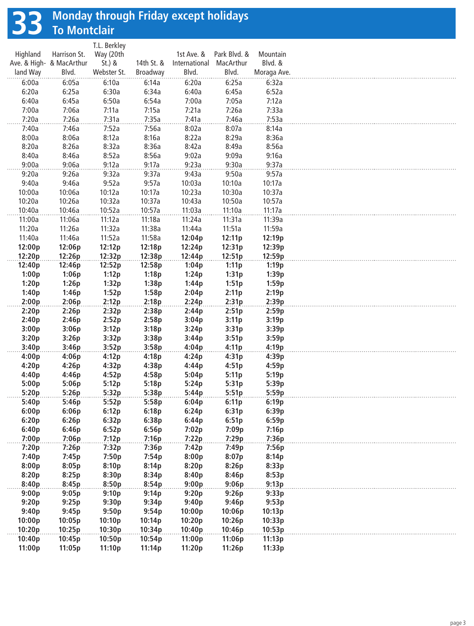# **33 Monday through Friday except holidays To Montclair**

|          |                          | T.L. Berkley |            |               |                   |             |
|----------|--------------------------|--------------|------------|---------------|-------------------|-------------|
| Highland | Harrison St.             | Way (20th    |            | 1st Ave. &    | Park Blvd. &      | Mountain    |
|          | Ave. & High- & MacArthur | $St.$ ) &    | 14th St. & | International | MacArthur         | Blvd. &     |
| land Way | Blvd.                    | Webster St.  | Broadway   | Blvd.         | Blvd.             | Moraga Ave. |
| 6:00a    | 6:05a                    | 6:10a        | 6:14a      | 6:20a         | 6:25a             | 6:32a       |
| 6:20a    | 6:25a                    | 6:30a        | 6:34a      | 6:40a         | 6:45a             | 6:52a       |
| 6:40a    | 6:45a                    | 6:50a        | 6:54a      | 7:00a         | 7:05a             | 7:12a       |
| 7:00a    | 7:06a                    | 7:11a        | 7:15a      | 7:21a         | 7:26a             | 7:33a       |
| 7:20a    | 7:26a                    | 7:31a        | 7:35a      | 7:41a         | 7:46a             | 7:53a       |
| 7:40a    | 7:46a                    | 7:52a        | 7:56a      | 8:02a         | 8:07a             | 8:14a       |
| 8:00a    | 8:06a                    | 8:12a        | 8:16a      | 8:22a         | 8:29a             | 8:36a       |
| 8:20a    | 8:26a                    | 8:32a        | 8:36a      | 8:42a         | 8:49a             | 8:56a       |
| 8:40a    | 8:46a                    | 8:52a        | 8:56a      | 9:02a         | 9:09a             | 9:16a       |
| 9:00a    | 9:06a                    | 9:12a        | 9:17a      | 9:23a         | 9:30a             | 9:37a       |
| 9:20a    | 9:26a                    | 9:32a        | 9:37a      | 9:43a         | 9:50a             | 9:57a       |
| 9:40a    | 9:46a                    | 9:52a        | 9:57a      | 10:03a        | 10:10a            | 10:17a      |
| 10:00a   | 10:06a                   | 10:12a       | 10:17a     | 10:23a        | 10:30a            | 10:37a      |
| 10:20a   | 10:26a                   | 10:32a       | 10:37a     | 10:43a        | 10:50a            | 10:57a      |
| 10:40a   | 10:46a                   | 10:52a       | 10:57a     | 11:03a        | 11:10a            | 11:17a      |
|          | 11:06a                   | 11:12a       | 11:18a     | 11:24a        | 11:31a            | 11:39a      |
| 11:00a   |                          |              |            |               |                   |             |
| 11:20a   | 11:26a                   | 11:32a       | 11:38a     | 11:44a        | 11:51a            | 11:59a      |
| 11:40a   | 11:46a                   | 11:52a       | 11:58a     | 12:04p        | 12:11p            | 12:19p      |
| 12:00p   | 12:06p                   | 12:12p       | 12:18p     | 12:24p        | 12:31p            | 12:39p      |
| 12:20p   | 12:26p                   | 12:32p       | 12:38p     | 12:44p        | 12:51p            | 12:59p      |
| 12:40p   | 12:46p                   | 12:52p       | 12:58p     | 1:04p         | 1:11p             | 1:19p       |
| 1:00p    | 1:06p                    | 1:12p        | 1:18p      | 1:24p         | 1:31p             | 1:39p       |
| 1:20p    | 1:26p                    | 1:32p        | 1:38p      | 1:44p         | 1:51p             | 1:59p       |
| 1:40p    | 1:46p                    | 1:52p        | 1:58p      | 2:04p         | 2:11p             | 2:19p       |
| 2:00p    | 2:06p                    | 2:12p        | 2:18p      | 2:24p         | 2:31p             | 2:39p       |
| 2:20p    | 2:26p                    | 2:32p        | 2:38p      | 2:44p         | 2:51p             | 2:59p       |
| 2:40p    | 2:46p                    | 2:52p        | 2:58p      | 3:04p         | 3:11p             | 3:19p       |
| 3:00p    | 3:06p                    | 3:12p        | 3:18p      | 3:24p         | 3:31p             | 3:39p       |
| 3:20p    | 3:26p                    | 3:32p        | 3:38p      | 3:44p         | 3:51p             | 3:59p       |
| 3:40p    | 3:46p                    | 3:52p        | 3:58p      | 4:04p         | 4:11p             | 4:19p       |
| 4:00p    | 4:06p                    | 4:12p        | 4:18p      | 4:24p         | 4:31p             | 4:39p       |
| 4:20p    | 4:26p                    | 4:32p        | 4:38p      | 4:44p         | 4:51p             | 4:59p       |
| 4:40p    | 4:46p                    | 4:52p        | 4:58p      | 5:04p         | 5:11p             | 5:19p       |
|          |                          |              |            |               |                   |             |
| 5:00p    | 5:06p                    | 5:12p        | 5:18p      | 5:24p         | 5:31p             | 5:39p       |
| 5:20p    | 5:26p                    | 5:32p        | 5:38p      | 5:44p         | 5:51p             | 5:59p       |
| 5:40p    | 5:46p                    | 5:52p        | 5:58p      | 6:04p         | 6:11 <sub>p</sub> | 6:19p       |
| 6:00p    | 6:06p                    | 6:12p        | 6:18p      | 6:24p         | 6:31p             | 6:39p       |
| 6:20p    | 6:26p                    | 6:32p        | 6:38p      | 6:44p         | 6:51p             | 6:59p       |
| 6:40p    | 6:46p                    | 6:52p        | 6:56p      | 7:02p         | 7:09p             | 7:16p       |
| 7:00p    | 7:06p                    | 7:12p        | 7:16p      | 7:22p         | 7:29p             | 7:36p       |
| 7:20p    | 7:26p                    | 7:32p        | 7:36p      | 7:42p         | 7:49p             | 7:56p       |
| 7:40p    | 7:45p                    | 7:50p        | 7:54p      | 8:00p         | 8:07p             | 8:14p       |
| 8:00p    | 8:05p                    | 8:10p        | 8:14p      | 8:20p         | 8:26p             | 8:33p       |
| 8:20p    | 8:25p                    | 8:30p        | 8:34p      | 8:40p         | 8:46p             | 8:53p       |
| 8:40p    | 8:45p                    | 8:50p        | 8:54p      | 9:00p         | 9:06p             | 9:13p       |
| 9:00p    | 9:05p                    | 9:10p        | 9:14p      | 9:20p         | 9:26p             | 9:33p       |
| 9:20p    | 9:25p                    | 9:30p        | 9:34p      | 9:40p         | 9:46p             | 9:53p       |
| 9:40p    | 9:45p                    | 9:50p        | 9:54p      | 10:00p        | 10:06p            | 10:13p      |
| 10:00p   | 10:05p                   | 10:10p       | 10:14p     | 10:20p        | 10:26p            | 10:33p      |
| 10:20p   | 10:25p                   | 10:30p       |            |               |                   | 10:53p      |
|          |                          |              | 10:34p     | 10:40p        | 10:46p            |             |
| 10:40p   | 10:45p                   | 10:50p       | 10:54p     | 11:00p        | 11:06p            | 11:13p      |
| 11:00p   | 11:05p                   | 11:10p       | 11:14p     | 11:20p        | 11:26p            | 11:33p      |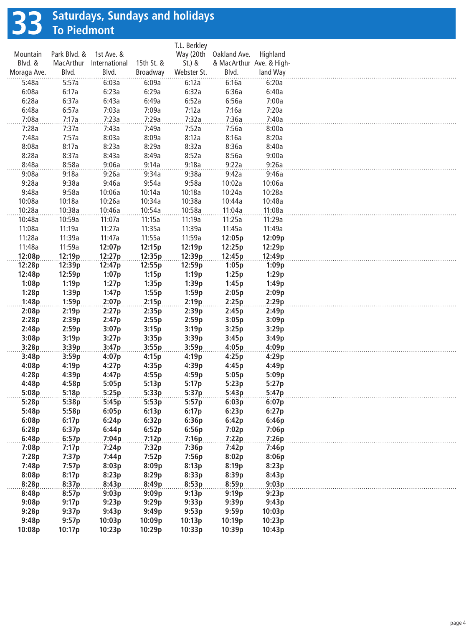# **33 Saturdays, Sundays and holidays To Piedmont**

|             |              |               |            | T.L. Berkley |                        |                          |  |
|-------------|--------------|---------------|------------|--------------|------------------------|--------------------------|--|
| Mountain    | Park Blvd. & | 1st Ave. &    |            |              | Way (20th Oakland Ave. | Highland                 |  |
| Blvd. &     | MacArthur    | International | 15th St. & | $St.$ ) &    |                        | & MacArthur Ave. & High- |  |
| Moraga Ave. | Blvd.        | Blvd.         | Broadway   | Webster St.  | Blvd.                  | land Way                 |  |
| 5:48a       | 5:57a        | 6:03a         | 6:09a      | 6:12a        | 6:16a                  | 6:20a                    |  |
| 6:08a       | 6:17a        | 6:23a         | 6:29a      | 6:32a        | 6:36a                  | 6:40a                    |  |
| 6:28a       | 6:37a        | 6:43a         | 6:49a      | 6:52a        | 6:56a                  | 7:00a                    |  |
| 6:48a       | 6:57a        | 7:03a         | 7:09a      | 7:12a        | 7:16a                  | 7:20a                    |  |
| 7:08a       | 7:17a        | 7:23a         | 7:29a      | 7:32a        | 7:36a                  | 7:40a                    |  |
| 7:28a       | 7:37a        | 7:43a         | 7:49a      | 7:52a        | 7:56a                  | 8:00a                    |  |
| 7:48a       | 7:57a        | 8:03a         | 8:09a      | 8:12a        | 8:16a                  | 8:20a                    |  |
| 8:08a       | 8:17a        | 8:23a         | 8:29a      | 8:32a        | 8:36a                  | 8:40a                    |  |
| 8:28a       | 8:37a        | 8:43a         | 8:49a      | 8:52a        | 8:56a                  | 9:00a                    |  |
| 8:48a       | 8:58a        | 9:06a         | 9:14a      | 9:18a        | 9:22a                  | 9:26a                    |  |
| 9:08a       | 9:18a        | 9:26a         | 9:34a      | 9:38a        | 9:42a                  | 9:46a                    |  |
| 9:28a       | 9:38a        | 9:46a         | 9:54a      | 9:58a        | 10:02a                 | 10:06a                   |  |
| 9:48a       | 9:58a        | 10:06a        | 10:14a     | 10:18a       | 10:24a                 | 10:28a                   |  |
| 10:08a      | 10:18a       | 10:26a        | 10:34a     | 10:38a       | 10:44a                 | 10:48a                   |  |
| 10:28a      | 10:38a       | 10:46a        | 10:54a     | 10:58a       | 11:04a                 | 11:08a                   |  |
| 10:48a      | 10:59a       | 11:07a        | 11:15a     | 11:19a       | 11:25a                 | 11:29a                   |  |
| 11:08a      | 11:19a       | 11:27a        | 11:35a     | 11:39a       | 11:45a                 | 11:49a                   |  |
| 11:28a      | 11:39a       | 11:47a        | 11:55a     | 11:59a       | 12:05p                 | 12:09p                   |  |
| 11:48a      | 11:59a       | 12:07p        | 12:15p     | 12:19p       | 12:25p                 | 12:29p                   |  |
| 12:08p      | 12:19p       | 12:27p        | 12:35p     | 12:39p       | 12:45p                 | 12:49p                   |  |
| 12:28p      | 12:39p       | 12:47p        | 12:55p     | 12:59p       | 1:05p                  | 1:09p                    |  |
| 12:48p      | 12:59p       | 1:07p         | 1:15p      | 1:19p        | 1:25p                  | 1:29p                    |  |
| 1:08p       | 1:19p        | 1:27p         | 1:35p      | 1:39p        | 1:45p                  | 1:49p                    |  |
| 1:28p       | 1:39p        | 1:47p         | 1:55p      | 1:59p        | 2:05p                  | 2:09p                    |  |
|             |              | 2:07p         |            |              |                        |                          |  |
| 1:48p       | 1:59p        |               | 2:15p      | 2:19p        | 2:25p                  | 2:29p                    |  |
| 2:08p       | 2:19p        | 2:27p         | 2:35p      | 2:39p        | 2:45p                  | 2:49p                    |  |
| 2:28p       | 2:39p        | 2:47p         | 2:55p      | 2:59p        | 3:05p                  | 3:09p                    |  |
| 2:48p       | 2:59p        | 3:07p         | 3:15p      | 3:19p        | 3:25p                  | 3:29p                    |  |
| 3:08p       | 3:19p        | 3:27p         | 3:35p      | 3:39p        | 3:45p                  | 3:49p                    |  |
| 3:28p       | 3:39p        | 3:47p         | 3:55p      | 3:59p        | 4:05p                  | 4:09p                    |  |
| 3:48p       | 3:59p        | 4:07p         | 4:15p      | 4:19p        | 4:25p                  | 4:29p                    |  |
| 4:08p       | 4:19p        | 4:27p         | 4:35p      | 4:39p        | 4:45p                  | 4:49p                    |  |
| 4:28p       | 4:39p        | 4:47p         | 4:55p      | 4:59p        | 5:05p                  | 5:09p                    |  |
| 4:48p       | 4:58p        | 5:05p         | 5:13p      | 5:17p        | 5:23p                  | 5:27p                    |  |
| 5:08p       | 5:18p        | 5:25p         | 5:33p      | 5:37p        | 5:43p                  | 5:47p                    |  |
| 5:28p       | 5:38p        | 5:45p         | 5:53p      | 5:57p        | 6:03p                  | 6:07p                    |  |
| 5:48p       | 5:58p        | 6:05p         | 6:13p      | 6:17p        | 6:23p                  | 6:27p                    |  |
| 6:08p       | 6:17p        | 6:24p         | 6:32p      | 6:36p        | 6:42p                  | 6:46p                    |  |
| 6:28p       | 6:37p        | 6:44p         | 6:52p      | 6:56p        | 7:02p                  | 7:06p                    |  |
| 6:48p       | 6:57p        | 7:04p         | 7:12p      | 7:16p        | 7:22p                  | 7:26p                    |  |
| 7:08p       | 7:17p        | 7:24p         | 7:32p      | 7:36p        | 7:42p                  | 7:46p                    |  |
| 7:28p       | 7:37p        | 7:44p         | 7:52p      | 7:56p        | 8:02p                  | 8:06p                    |  |
| 7:48p       | 7:57p        | 8:03p         | 8:09p      | 8:13p        | 8:19p                  | 8:23p                    |  |
| 8:08p       | 8:17p        | 8:23p         | 8:29p      | 8:33p        | 8:39p                  | 8:43p                    |  |
| 8:28p       | 8:37p        | 8:43p         | 8:49p      | 8:53p        | 8:59p                  | 9:03p                    |  |
| 8:48p       | 8:57p        | 9:03p         | 9:09p      | 9:13p        | 9:19p                  | 9:23p                    |  |
| 9:08p       | 9:17p        | 9:23p         | 9:29p      | 9:33p        | 9:39p                  | 9:43p                    |  |
| 9:28p       | 9:37p        | 9:43p         | 9:49p      | 9:53p        | 9:59p                  | 10:03p                   |  |
| 9:48p       | 9:57p        | 10:03p        | 10:09p     | 10:13p       | 10:19p                 | 10:23p                   |  |
| 10:08p      | 10:17p       | 10:23p        | 10:29p     | 10:33p       | 10:39p                 | 10:43p                   |  |
|             |              |               |            |              |                        |                          |  |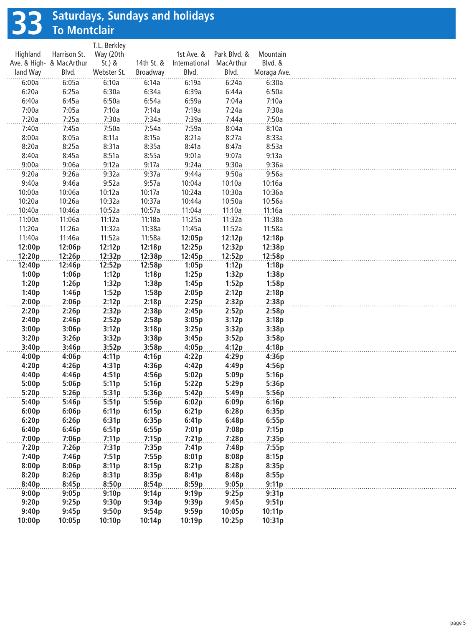# **33 Saturdays, Sundays and holidays To Montclair**

|             |              |               |            | T.L. Berkley |                          |          |
|-------------|--------------|---------------|------------|--------------|--------------------------|----------|
| Mountain    | Park Blvd. & | 1st Ave. &    |            | Way (20th    | Harrison St.             | Highland |
| Blvd. &     | MacArthur    | International | 14th St. & | $St.$ ) &    | Ave. & High- & MacArthur |          |
| Moraga Ave. | Blvd.        | Blvd.         | Broadway   | Webster St.  | Blvd.                    | land Way |
| 6:30a       | 6:24a        | 6:19a         | 6:14a      | 6:10a        | 6:05a                    | 6:00a    |
| 6:50a       | 6:44a        | 6:39a         | 6:34a      | 6:30a        | 6:25a                    | 6:20a    |
| 7:10a       | 7:04a        | 6:59a         | 6:54a      | 6:50a        | 6:45a                    | 6:40a    |
| 7:30a       | 7:24a        | 7:19a         | 7:14a      | 7:10a        | 7:05a                    | 7:00a    |
| 7:50a       | 7:44a        | 7:39a         | 7:34a      | 7:30a        | 7:25a                    | 7:20a    |
| 8:10a       | 8:04a        | 7:59a         | 7:54a      | 7:50a        | 7:45a                    | 7:40a    |
| 8:33a       | 8:27a        | 8:21a         | 8:15a      | 8:11a        | 8:05a                    | 8:00a    |
| 8:53a       | 8:47a        | 8:41a         | 8:35a      | 8:31a        | 8:25a                    | 8:20a    |
| 9:13a       | 9:07a        | 9:01a         | 8:55a      | 8:51a        | 8:45a                    | 8:40a    |
| 9:36a       | 9:30a        | 9:24a         | 9:17a      | 9:12a        | 9:06a                    | 9:00a    |
| 9:56a       | 9:50a        | 9:44a         | 9:37a      | 9:32a        | 9:26a                    | 9:20a    |
| 10:16a      | 10:10a       | 10:04a        | 9:57a      | 9:52a        | 9:46a                    | 9:40a    |
| 10:36a      | 10:30a       | 10:24a        | 10:17a     | 10:12a       | 10:06a                   | 10:00a   |
| 10:56a      | 10:50a       |               |            | 10:32a       |                          |          |
| 11:16a      |              | 10:44a        | 10:37a     | 10:52a       | 10:26a                   | 10:20a   |
|             | 11:10a       | 11:04a        | 10:57a     |              | 10:46a                   | 10:40a   |
| 11:38a      | 11:32a       | 11:25a        | 11:18a     | 11:12a       | 11:06a                   | 11:00a   |
| 11:58a      | 11:52a       | 11:45a        | 11:38a     | 11:32a       | 11:26a                   | 11:20a   |
| 12:18p      | 12:12p       | 12:05p        | 11:58a     | 11:52a       | 11:46a                   | 11:40a   |
| 12:38p      | 12:32p       | 12:25p        | 12:18p     | 12:12p       | 12:06p                   | 12:00p   |
| 12:58p      | 12:52p       | 12:45p        | 12:38p     | 12:32p       | 12:26p                   | 12:20p   |
| 1:18p       | 1:12p        | 1:05p         | 12:58p     | 12:52p       | 12:46p                   | 12:40p   |
| 1:38p       | 1:32p        | 1:25p         | 1:18p      | 1:12p        | 1:06p                    | 1:00p    |
| 1:58p       | 1:52p        | 1:45p         | 1:38p      | 1:32p        | 1:26p                    | 1:20p    |
| 2:18p       | 2:12p        | 2:05p         | 1:58p      | 1:52p        | 1:46p                    | 1:40p    |
| 2:38p       | 2:32p        | 2:25p         | 2:18p      | 2:12p        | 2:06p                    | 2:00p    |
| 2:58p       | 2:52p        | 2:45p         | 2:38p      | 2:32p        | 2:26p                    | 2:20p    |
| 3:18p       | 3:12p        | 3:05p         | 2:58p      | 2:52p        | 2:46p                    | 2:40p    |
| 3:38p       | 3:32p        | 3:25p         | 3:18p      | 3:12p        | 3:06p                    | 3:00p    |
| 3:58p       | 3:52p        | 3:45p         | 3:38p      | 3:32p        | 3:26p                    | 3:20p    |
| 4:18p       | 4:12p        | 4:05p         | 3:58p      | 3:52p        | 3:46p                    | 3:40p    |
| 4:36p       | 4:29p        | 4:22p         | 4:16p      | 4:11p        | 4:06p                    | 4:00p    |
| 4:56p       | 4:49p        | 4:42p         | 4:36p      | 4:31p        | 4:26p                    | 4:20p    |
| 5:16p       | 5:09p        | 5:02p         | 4:56p      | 4:51p        | 4:46p                    | 4:40p    |
| 5:36p       | 5:29p        | 5:22p         | 5:16p      | 5:11p        | 5:06p                    | 5:00p    |
| 5:56p       | 5:49p        | 5:42p         | 5:36p      | 5:31p        | 5:26p                    | 5:20p    |
| 6:16p       | 6:09p        | 6:02p         | 5:56p      | 5:51p        | 5:46p                    | 5:40p    |
| 6:35p       | 6:28p        | 6:21p         | 6:15p      | 6:11p        | 6:06p                    | 6:00p    |
| 6:55p       | 6:48p        | 6:41p         | 6:35p      | 6:31p        | 6:26p                    | 6:20p    |
| 7:15p       | 7:08p        | 7:01p         | 6:55p      | 6:51p        | 6:46p                    | 6:40p    |
| 7:35p       | 7:28p        | 7:21p         | 7:15p      | 7:11p        | 7:06p                    | 7:00p    |
| 7:55p       | 7:48p        | 7:41p         | 7:35p      | 7:31p        | 7:26p                    | 7:20p    |
| 8:15p       | 8:08p        | 8:01p         | 7:55p      | 7:51p        | 7:46p                    | 7:40p    |
| 8:35p       | 8:28p        | 8:21p         | 8:15p      | 8:11p        | 8:06p                    | 8:00p    |
| 8:55p       | 8:48p        | 8:41p         | 8:35p      | 8:31p        | 8:26p                    | 8:20p    |
| 9:11p       | 9:05p        | 8:59p         | 8:54p      | 8:50p        | 8:45p                    | 8:40p    |
| 9:31p       | 9:25p        | 9:19p         | 9:14p      | 9:10p        | 9:05p                    | 9:00p    |
| 9:51p       | 9:45p        | 9:39p         | 9:34p      | 9:30p        | 9:25p                    | 9:20p    |
| 10:11p      | 10:05p       | 9:59p         | 9:54p      | 9:50p        | 9:45p                    | 9:40p    |
| 10:31p      | 10:25p       | 10:19p        | 10:14p     | 10:10p       | 10:05p                   | 10:00p   |
|             |              |               |            |              |                          |          |